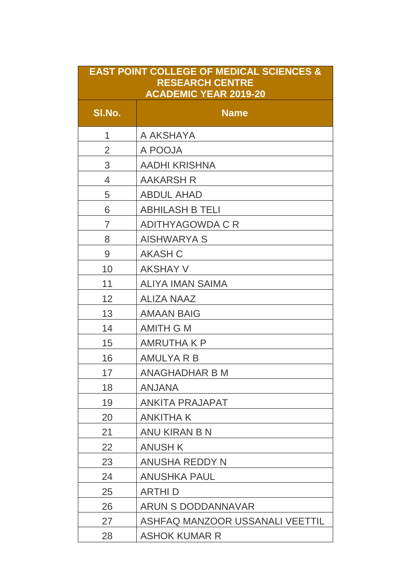| <b>EAST POINT COLLEGE OF MEDICAL SCIENCES &amp;</b><br><b>RESEARCH CENTRE</b><br><b>ACADEMIC YEAR 2019-20</b> |                                 |  |
|---------------------------------------------------------------------------------------------------------------|---------------------------------|--|
| SI.No.                                                                                                        | <b>Name</b>                     |  |
| 1                                                                                                             | A AKSHAYA                       |  |
| $\overline{2}$                                                                                                | A POOJA                         |  |
| 3                                                                                                             | <b>AADHI KRISHNA</b>            |  |
| $\overline{4}$                                                                                                | <b>AAKARSH R</b>                |  |
| 5                                                                                                             | <b>ABDUL AHAD</b>               |  |
| 6                                                                                                             | <b>ABHILASH B TELI</b>          |  |
| $\overline{7}$                                                                                                | <b>ADITHYAGOWDA C R</b>         |  |
| 8                                                                                                             | <b>AISHWARYA S</b>              |  |
| 9                                                                                                             | <b>AKASH C</b>                  |  |
| 10                                                                                                            | <b>AKSHAY V</b>                 |  |
| 11                                                                                                            | <b>ALIYA IMAN SAIMA</b>         |  |
| 12                                                                                                            | <b>ALIZA NAAZ</b>               |  |
| 13                                                                                                            | <b>AMAAN BAIG</b>               |  |
| 14                                                                                                            | <b>AMITH G M</b>                |  |
| 15                                                                                                            | <b>AMRUTHAKP</b>                |  |
| 16                                                                                                            | <b>AMULYA R B</b>               |  |
| 17                                                                                                            | <b>ANAGHADHAR B M</b>           |  |
| 18                                                                                                            | ANJANA                          |  |
| 19                                                                                                            | <b>ANKITA PRAJAPAT</b>          |  |
| 20                                                                                                            | <b>ANKITHAK</b>                 |  |
| 21                                                                                                            | ANU KIRAN B N                   |  |
| 22                                                                                                            | <b>ANUSH K</b>                  |  |
| 23                                                                                                            | <b>ANUSHA REDDY N</b>           |  |
| 24                                                                                                            | <b>ANUSHKA PAUL</b>             |  |
| 25                                                                                                            | <b>ARTHID</b>                   |  |
| 26                                                                                                            | <b>ARUN S DODDANNAVAR</b>       |  |
| 27                                                                                                            | ASHFAQ MANZOOR USSANALI VEETTIL |  |
| 28                                                                                                            | <b>ASHOK KUMAR R</b>            |  |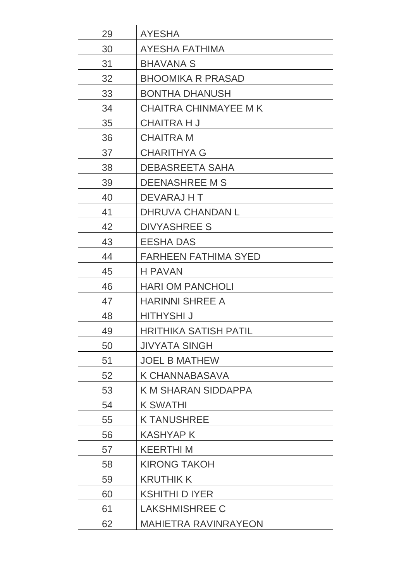| 29 | <b>AYESHA</b>                |
|----|------------------------------|
| 30 | <b>AYESHA FATHIMA</b>        |
| 31 | <b>BHAVANA S</b>             |
| 32 | <b>BHOOMIKA R PRASAD</b>     |
| 33 | <b>BONTHA DHANUSH</b>        |
| 34 | <b>CHAITRA CHINMAYEE M K</b> |
| 35 | <b>CHAITRA H J</b>           |
| 36 | <b>CHAITRA M</b>             |
| 37 | <b>CHARITHYA G</b>           |
| 38 | <b>DEBASREETA SAHA</b>       |
| 39 | <b>DEENASHREE M S</b>        |
| 40 | DEVARAJ HT                   |
| 41 | <b>DHRUVA CHANDAN L</b>      |
| 42 | <b>DIVYASHREE S</b>          |
| 43 | <b>EESHA DAS</b>             |
| 44 | <b>FARHEEN FATHIMA SYED</b>  |
| 45 | <b>H PAVAN</b>               |
| 46 | <b>HARI OM PANCHOLI</b>      |
| 47 | <b>HARINNI SHREE A</b>       |
| 48 | <b>HITHYSHI J</b>            |
| 49 | HRITHIKA SATISH PATIL        |
| 50 | <b>JIVYATA SINGH</b>         |
| 51 | <b>JOEL B MATHEW</b>         |
| 52 | <b>K CHANNABASAVA</b>        |
| 53 | <b>K M SHARAN SIDDAPPA</b>   |
| 54 | <b>K SWATHI</b>              |
| 55 | <b>K TANUSHREE</b>           |
| 56 | <b>KASHYAP K</b>             |
| 57 | <b>KEERTHIM</b>              |
| 58 | <b>KIRONG TAKOH</b>          |
| 59 | <b>KRUTHIK K</b>             |
| 60 | <b>KSHITHI D IYER</b>        |
| 61 | <b>LAKSHMISHREE C</b>        |
| 62 | <b>MAHIETRA RAVINRAYEON</b>  |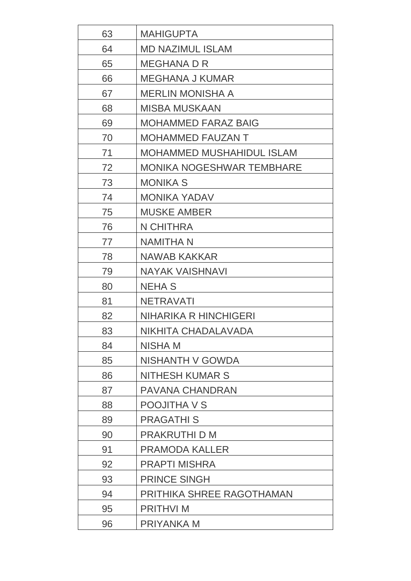| 63 | <b>MAHIGUPTA</b>                 |
|----|----------------------------------|
| 64 | <b>MD NAZIMUL ISLAM</b>          |
| 65 | <b>MEGHANA D R</b>               |
| 66 | <b>MEGHANA J KUMAR</b>           |
| 67 | <b>MERLIN MONISHA A</b>          |
| 68 | <b>MISBA MUSKAAN</b>             |
| 69 | <b>MOHAMMED FARAZ BAIG</b>       |
| 70 | <b>MOHAMMED FAUZAN T</b>         |
| 71 | <b>MOHAMMED MUSHAHIDUL ISLAM</b> |
| 72 | MONIKA NOGESHWAR TEMBHARE        |
| 73 | <b>MONIKA S</b>                  |
| 74 | <b>MONIKA YADAV</b>              |
| 75 | <b>MUSKE AMBER</b>               |
| 76 | N CHITHRA                        |
| 77 | <b>NAMITHA N</b>                 |
| 78 | NAWAB KAKKAR                     |
| 79 | <b>NAYAK VAISHNAVI</b>           |
| 80 | <b>NEHA S</b>                    |
| 81 | <b>NETRAVATI</b>                 |
| 82 | NIHARIKA R HINCHIGERI            |
| 83 | NIKHITA CHADALAVADA              |
| 84 | NISHA M                          |
| 85 | NISHANTH V GOWDA                 |
| 86 | <b>NITHESH KUMAR S</b>           |
| 87 | <b>PAVANA CHANDRAN</b>           |
| 88 | <b>POOJITHA V S</b>              |
| 89 | <b>PRAGATHIS</b>                 |
| 90 | PRAKRUTHI D M                    |
| 91 | <b>PRAMODA KALLER</b>            |
| 92 | <b>PRAPTI MISHRA</b>             |
| 93 | <b>PRINCE SINGH</b>              |
| 94 | PRITHIKA SHREE RAGOTHAMAN        |
| 95 | <b>PRITHVI M</b>                 |
| 96 | <b>PRIYANKA M</b>                |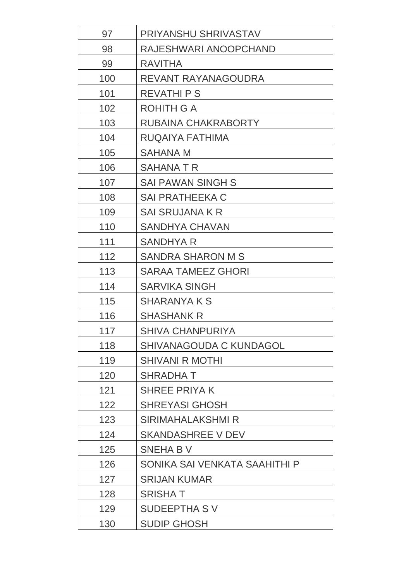| 97  | PRIYANSHU SHRIVASTAV           |
|-----|--------------------------------|
| 98  | RAJESHWARI ANOOPCHAND          |
| 99  | <b>RAVITHA</b>                 |
| 100 | REVANT RAYANAGOUDRA            |
| 101 | <b>REVATHI P S</b>             |
| 102 | <b>ROHITH G A</b>              |
| 103 | RUBAINA CHAKRABORTY            |
| 104 | RUQAIYA FATHIMA                |
| 105 | <b>SAHANA M</b>                |
| 106 | <b>SAHANATR</b>                |
| 107 | <b>SAI PAWAN SINGH S</b>       |
| 108 | <b>SAI PRATHEEKA C</b>         |
| 109 | SAI SRUJANA K R                |
| 110 | <b>SANDHYA CHAVAN</b>          |
| 111 | <b>SANDHYA R</b>               |
| 112 | <b>SANDRA SHARON M S</b>       |
| 113 | <b>SARAA TAMEEZ GHORI</b>      |
| 114 | <b>SARVIKA SINGH</b>           |
| 115 | <b>SHARANYA K S</b>            |
| 116 | <b>SHASHANK R</b>              |
| 117 | <b>SHIVA CHANPURIYA</b>        |
| 118 | <b>SHIVANAGOUDA C KUNDAGOL</b> |
| 119 | <b>SHIVANI R MOTHI</b>         |
| 120 | <b>SHRADHAT</b>                |
| 121 | <b>SHREE PRIYAK</b>            |
| 122 | <b>SHREYASI GHOSH</b>          |
| 123 | <b>SIRIMAHALAKSHMI R</b>       |
| 124 | <b>SKANDASHREE V DEV</b>       |
| 125 | <b>SNEHA B V</b>               |
| 126 | SONIKA SAI VENKATA SAAHITHI P  |
| 127 | <b>SRIJAN KUMAR</b>            |
| 128 | <b>SRISHAT</b>                 |
| 129 | <b>SUDEEPTHA SV</b>            |
| 130 | <b>SUDIP GHOSH</b>             |